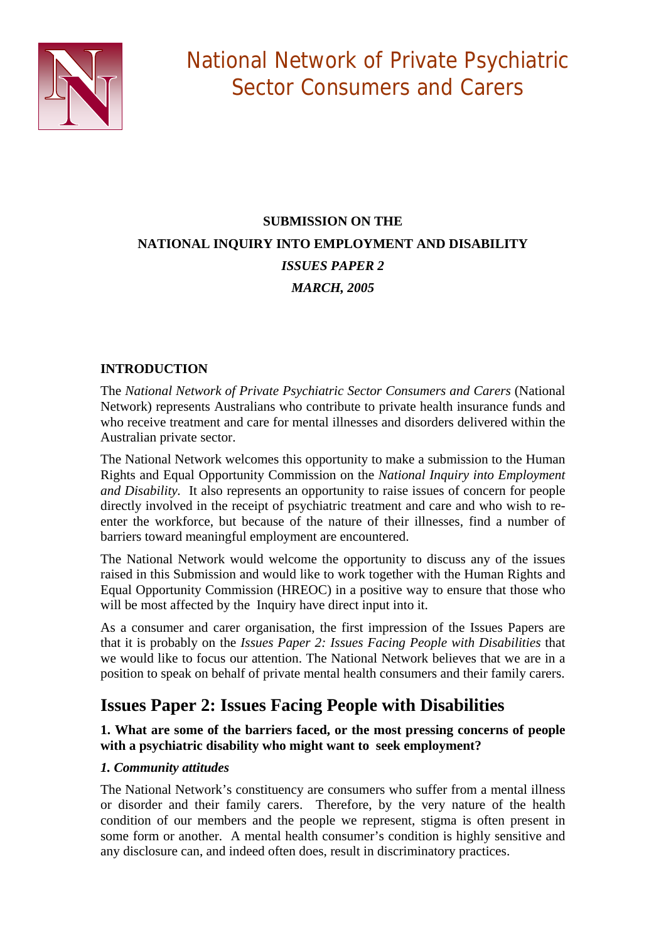

# **SUBMISSION ON THE NATIONAL INQUIRY INTO EMPLOYMENT AND DISABILITY**  *ISSUES PAPER 2 MARCH, 2005*

# **INTRODUCTION**

The *National Network of Private Psychiatric Sector Consumers and Carers* (National Network) represents Australians who contribute to private health insurance funds and who receive treatment and care for mental illnesses and disorders delivered within the Australian private sector.

The National Network welcomes this opportunity to make a submission to the Human Rights and Equal Opportunity Commission on the *National Inquiry into Employment and Disability.* It also represents an opportunity to raise issues of concern for people directly involved in the receipt of psychiatric treatment and care and who wish to reenter the workforce, but because of the nature of their illnesses, find a number of barriers toward meaningful employment are encountered.

The National Network would welcome the opportunity to discuss any of the issues raised in this Submission and would like to work together with the Human Rights and Equal Opportunity Commission (HREOC) in a positive way to ensure that those who will be most affected by the Inquiry have direct input into it.

As a consumer and carer organisation, the first impression of the Issues Papers are that it is probably on the *Issues Paper 2: Issues Facing People with Disabilities* that we would like to focus our attention. The National Network believes that we are in a position to speak on behalf of private mental health consumers and their family carers.

# **Issues Paper 2: Issues Facing People with Disabilities**

# **1. What are some of the barriers faced, or the most pressing concerns of people with a psychiatric disability who might want to seek employment?**

# *1. Community attitudes*

The National Network's constituency are consumers who suffer from a mental illness or disorder and their family carers. Therefore, by the very nature of the health condition of our members and the people we represent, stigma is often present in some form or another. A mental health consumer's condition is highly sensitive and any disclosure can, and indeed often does, result in discriminatory practices.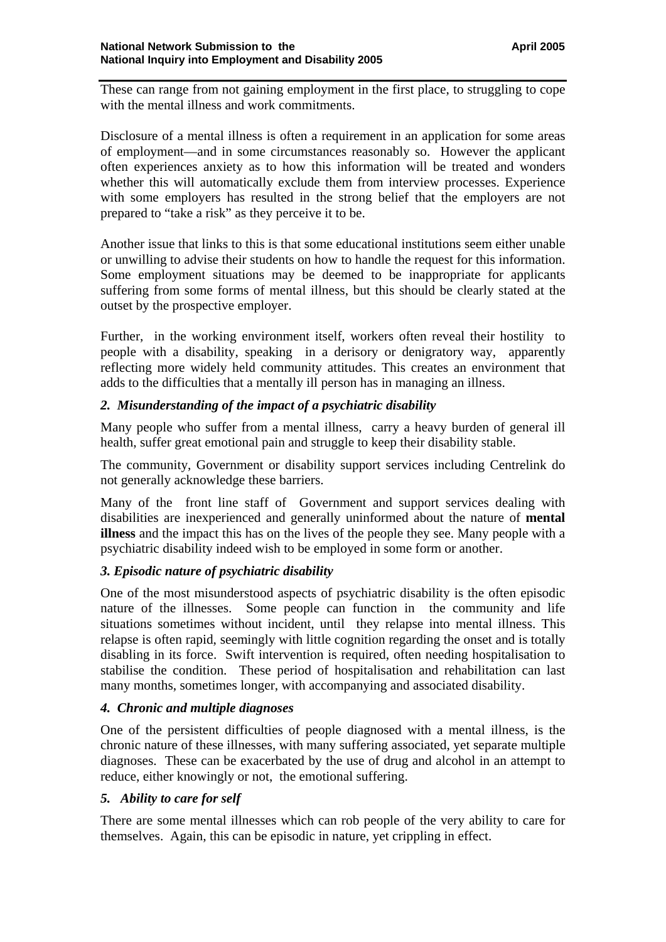These can range from not gaining employment in the first place, to struggling to cope with the mental illness and work commitments.

Disclosure of a mental illness is often a requirement in an application for some areas of employment—and in some circumstances reasonably so. However the applicant often experiences anxiety as to how this information will be treated and wonders whether this will automatically exclude them from interview processes. Experience with some employers has resulted in the strong belief that the employers are not prepared to "take a risk" as they perceive it to be.

Another issue that links to this is that some educational institutions seem either unable or unwilling to advise their students on how to handle the request for this information. Some employment situations may be deemed to be inappropriate for applicants suffering from some forms of mental illness, but this should be clearly stated at the outset by the prospective employer.

Further, in the working environment itself, workers often reveal their hostility to people with a disability, speaking in a derisory or denigratory way, apparently reflecting more widely held community attitudes. This creates an environment that adds to the difficulties that a mentally ill person has in managing an illness.

# *2. Misunderstanding of the impact of a psychiatric disability*

Many people who suffer from a mental illness, carry a heavy burden of general ill health, suffer great emotional pain and struggle to keep their disability stable.

The community, Government or disability support services including Centrelink do not generally acknowledge these barriers.

Many of the front line staff of Government and support services dealing with disabilities are inexperienced and generally uninformed about the nature of **mental illness** and the impact this has on the lives of the people they see. Many people with a psychiatric disability indeed wish to be employed in some form or another.

# *3. Episodic nature of psychiatric disability*

One of the most misunderstood aspects of psychiatric disability is the often episodic nature of the illnesses. Some people can function in the community and life situations sometimes without incident, until they relapse into mental illness. This relapse is often rapid, seemingly with little cognition regarding the onset and is totally disabling in its force. Swift intervention is required, often needing hospitalisation to stabilise the condition. These period of hospitalisation and rehabilitation can last many months, sometimes longer, with accompanying and associated disability.

#### *4. Chronic and multiple diagnoses*

One of the persistent difficulties of people diagnosed with a mental illness, is the chronic nature of these illnesses, with many suffering associated, yet separate multiple diagnoses. These can be exacerbated by the use of drug and alcohol in an attempt to reduce, either knowingly or not, the emotional suffering.

#### *5. Ability to care for self*

There are some mental illnesses which can rob people of the very ability to care for themselves. Again, this can be episodic in nature, yet crippling in effect.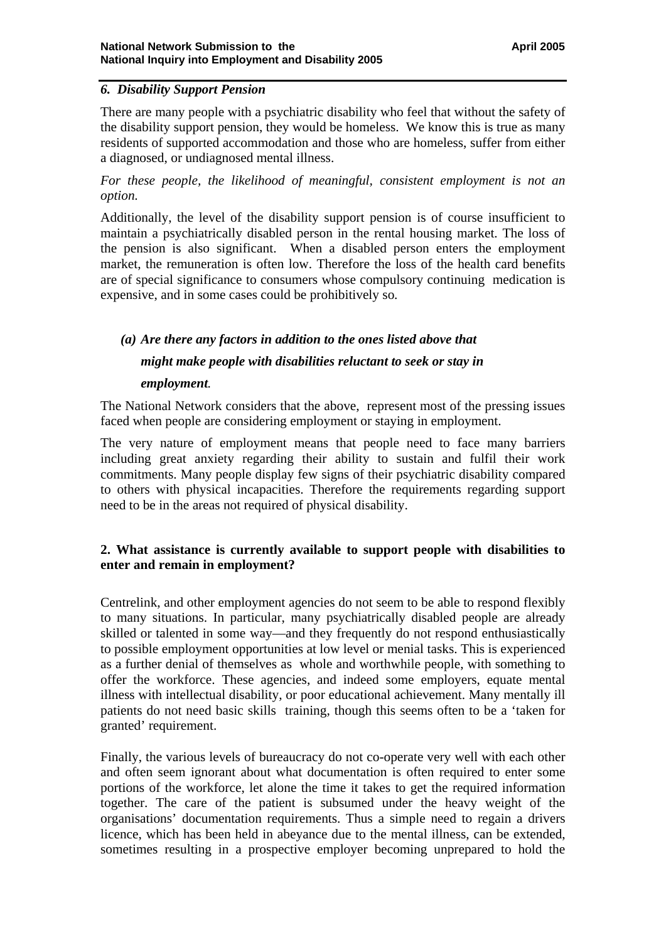#### *6. Disability Support Pension*

There are many people with a psychiatric disability who feel that without the safety of the disability support pension, they would be homeless. We know this is true as many residents of supported accommodation and those who are homeless, suffer from either a diagnosed, or undiagnosed mental illness.

*For these people, the likelihood of meaningful, consistent employment is not an option.* 

Additionally, the level of the disability support pension is of course insufficient to maintain a psychiatrically disabled person in the rental housing market. The loss of the pension is also significant. When a disabled person enters the employment market, the remuneration is often low. Therefore the loss of the health card benefits are of special significance to consumers whose compulsory continuing medication is expensive, and in some cases could be prohibitively so*.* 

# *(a) Are there any factors in addition to the ones listed above that might make people with disabilities reluctant to seek or stay in*

#### *employment.*

The National Network considers that the above, represent most of the pressing issues faced when people are considering employment or staying in employment.

The very nature of employment means that people need to face many barriers including great anxiety regarding their ability to sustain and fulfil their work commitments. Many people display few signs of their psychiatric disability compared to others with physical incapacities. Therefore the requirements regarding support need to be in the areas not required of physical disability.

# **2. What assistance is currently available to support people with disabilities to enter and remain in employment?**

Centrelink, and other employment agencies do not seem to be able to respond flexibly to many situations. In particular, many psychiatrically disabled people are already skilled or talented in some way—and they frequently do not respond enthusiastically to possible employment opportunities at low level or menial tasks. This is experienced as a further denial of themselves as whole and worthwhile people, with something to offer the workforce. These agencies, and indeed some employers, equate mental illness with intellectual disability, or poor educational achievement. Many mentally ill patients do not need basic skills training, though this seems often to be a 'taken for granted' requirement.

Finally, the various levels of bureaucracy do not co-operate very well with each other and often seem ignorant about what documentation is often required to enter some portions of the workforce, let alone the time it takes to get the required information together. The care of the patient is subsumed under the heavy weight of the organisations' documentation requirements. Thus a simple need to regain a drivers licence, which has been held in abeyance due to the mental illness, can be extended, sometimes resulting in a prospective employer becoming unprepared to hold the